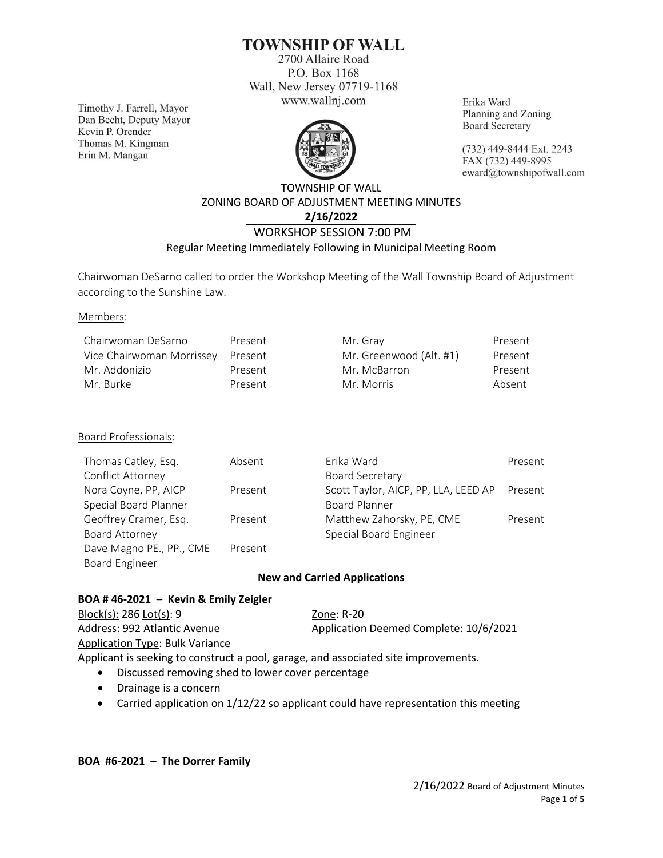# **TOWNSHIP OF WALL**

2700 Allaire Road P.O. Box 1168 Wall, New Jersey 07719-1168 www.wallnj.com

Timothy J. Farrell, Mayor Dan Becht, Deputy Mayor Kevin P. Orender Thomas M. Kingman Erin M. Mangan



Erika Ward Planning and Zoning **Board Secretary** 

(732) 449-8444 Ext. 2243 FAX (732) 449-8995 eward@townshipofwall.com

# TOWNSHIP OF WALL ZONING BOARD OF ADJUSTMENT MEETING MINUTES **2/16/2022** WORKSHOP SESSION 7:00 PM

## Regular Meeting Immediately Following in Municipal Meeting Room

Chairwoman DeSarno called to order the Workshop Meeting of the Wall Township Board of Adjustment according to the Sunshine Law.

#### Members:

| Chairwoman DeSarno        | Present | Mr. Gray                | Present |
|---------------------------|---------|-------------------------|---------|
| Vice Chairwoman Morrissev | Present | Mr. Greenwood (Alt. #1) | Present |
| Mr. Addonizio             | Present | Mr. McBarron            | Present |
| Mr. Burke                 | Present | Mr. Morris              | Absent  |

### Board Professionals:

| Thomas Catley, Esq.      | Absent  | Erika Ward                           | Present |
|--------------------------|---------|--------------------------------------|---------|
| Conflict Attorney        |         | <b>Board Secretary</b>               |         |
| Nora Coyne, PP, AICP     | Present | Scott Taylor, AICP, PP, LLA, LEED AP | Present |
| Special Board Planner    |         | <b>Board Planner</b>                 |         |
| Geoffrey Cramer, Esq.    | Present | Matthew Zahorsky, PE, CME            | Present |
| Board Attorney           |         | Special Board Engineer               |         |
| Dave Magno PE., PP., CME | Present |                                      |         |
| Board Engineer           |         |                                      |         |

## **New and Carried Applications**

## **BOA # 46-2021 – Kevin & Emily Zeigler**

| <u>Block(s):</u> 286 <u>Lot(s)</u> : 9<br>Zone: R-20 |                                        |
|------------------------------------------------------|----------------------------------------|
| Address: 992 Atlantic Avenue                         | Application Deemed Complete: 10/6/2021 |
| <b>Application Type: Bulk Variance</b>               |                                        |

Applicant is seeking to construct a pool, garage, and associated site improvements.

- Discussed removing shed to lower cover percentage
- Drainage is a concern
- Carried application on 1/12/22 so applicant could have representation this meeting

**BOA #6-2021 – The Dorrer Family**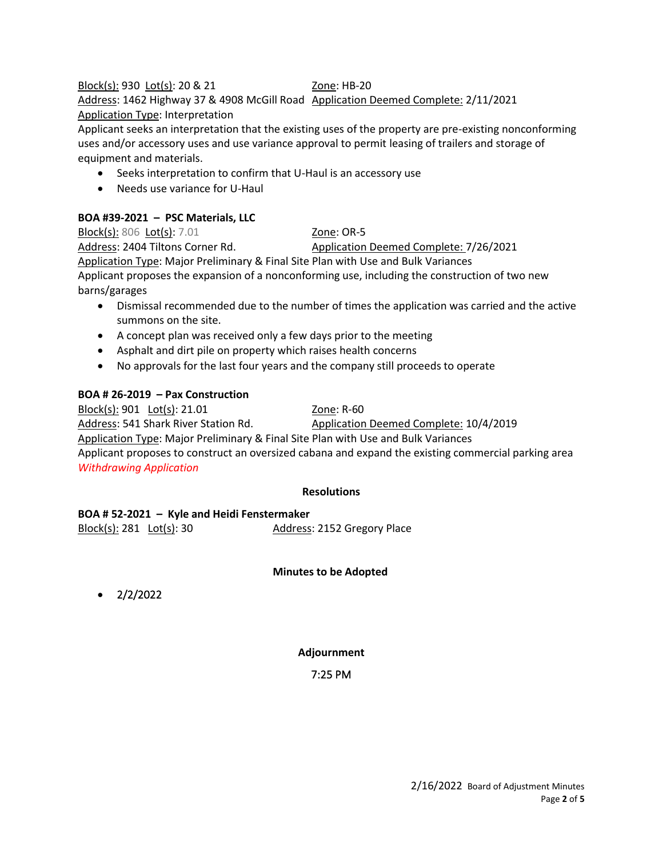# Block(s): 930 Lot(s): 20 & 21 Zone: HB-20 Address: 1462 Highway 37 & 4908 McGill Road Application Deemed Complete: 2/11/2021 Application Type: Interpretation

Applicant seeks an interpretation that the existing uses of the property are pre-existing nonconforming uses and/or accessory uses and use variance approval to permit leasing of trailers and storage of equipment and materials.

- Seeks interpretation to confirm that U-Haul is an accessory use
- Needs use variance for U-Haul

# **BOA #39-2021 – PSC Materials, LLC**

Block(s): 806 Lot(s): 7.01 200e: OR-5 Address: 2404 Tiltons Corner Rd. Application Deemed Complete: 7/26/2021 Application Type: Major Preliminary & Final Site Plan with Use and Bulk Variances Applicant proposes the expansion of a nonconforming use, including the construction of two new barns/garages

- Dismissal recommended due to the number of times the application was carried and the active summons on the site.
- A concept plan was received only a few days prior to the meeting
- Asphalt and dirt pile on property which raises health concerns
- No approvals for the last four years and the company still proceeds to operate

# **BOA # 26-2019 – Pax Construction**

Block(s): 901 Lot(s): 21.01 Zone: R-60 Address: 541 Shark River Station Rd. Application Deemed Complete: 10/4/2019 Application Type: Major Preliminary & Final Site Plan with Use and Bulk Variances Applicant proposes to construct an oversized cabana and expand the existing commercial parking area *Withdrawing Application*

### **Resolutions**

**BOA # 52-2021 – Kyle and Heidi Fenstermaker** Block(s): 281 Lot(s): 30 Address: 2152 Gregory Place

# **Minutes to be Adopted**

• 2/2/2022

**Adjournment**

# 7:25 PM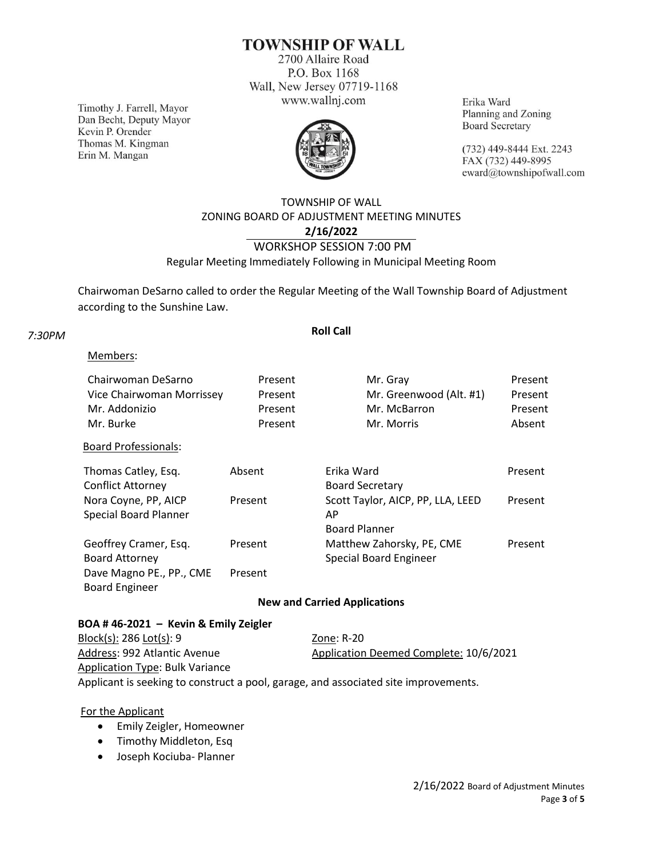# **TOWNSHIP OF WALL**

2700 Allaire Road P.O. Box 1168 Wall, New Jersey 07719-1168 www.wallnj.com

Timothy J. Farrell, Mayor Dan Becht, Deputy Mayor Kevin P. Orender Thomas M. Kingman Erin M. Mangan



Erika Ward Planning and Zoning **Board Secretary** 

(732) 449-8444 Ext. 2243 FAX (732) 449-8995 eward@townshipofwall.com

# TOWNSHIP OF WALL ZONING BOARD OF ADJUSTMENT MEETING MINUTES **2/16/2022** WORKSHOP SESSION 7:00 PM Regular Meeting Immediately Following in Municipal Meeting Room

Chairwoman DeSarno called to order the Regular Meeting of the Wall Township Board of Adjustment according to the Sunshine Law.

#### *7:30PM*

**Roll Call**

#### Members:

| Chairwoman DeSarno<br>Vice Chairwoman Morrissey<br>Mr. Addonizio<br>Mr. Burke | Present<br>Present<br>Present<br>Present | Mr. Gray<br>Mr. Greenwood (Alt. #1)<br>Mr. McBarron<br>Mr. Morris | Present<br>Present<br>Present<br>Absent |
|-------------------------------------------------------------------------------|------------------------------------------|-------------------------------------------------------------------|-----------------------------------------|
| <b>Board Professionals:</b>                                                   |                                          |                                                                   |                                         |
| Thomas Catley, Esq.<br><b>Conflict Attorney</b>                               | Absent                                   | Erika Ward<br><b>Board Secretary</b>                              | Present                                 |
| Nora Coyne, PP, AICP<br>Special Board Planner                                 | Present                                  | Scott Taylor, AICP, PP, LLA, LEED<br>AP<br><b>Board Planner</b>   | Present                                 |
| Geoffrey Cramer, Esq.<br><b>Board Attorney</b>                                | Present                                  | Matthew Zahorsky, PE, CME<br><b>Special Board Engineer</b>        | Present                                 |
| Dave Magno PE., PP., CME<br><b>Board Engineer</b>                             | Present                                  |                                                                   |                                         |

## **New and Carried Applications**

#### **BOA # 46-2021 – Kevin & Emily Zeigler**

Block(s): 286 Lot(s): 9 Zone: R-20 Address: 992 Atlantic Avenue Application Deemed Complete: 10/6/2021 Application Type: Bulk Variance Applicant is seeking to construct a pool, garage, and associated site improvements.

For the Applicant

- Emily Zeigler, Homeowner
- Timothy Middleton, Esq
- Joseph Kociuba- Planner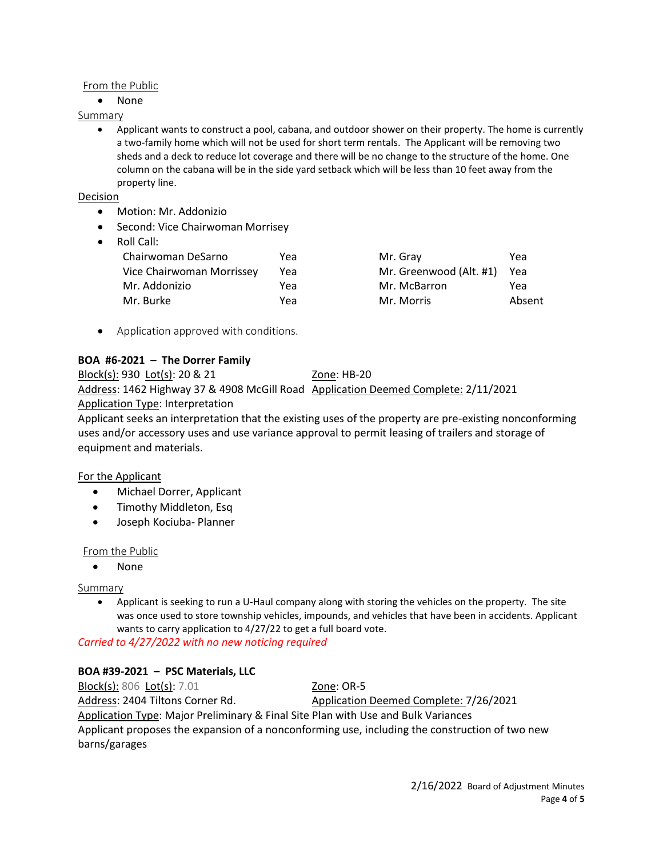From the Public

• None

Summary

• Applicant wants to construct a pool, cabana, and outdoor shower on their property. The home is currently a two-family home which will not be used for short term rentals. The Applicant will be removing two sheds and a deck to reduce lot coverage and there will be no change to the structure of the home. One column on the cabana will be in the side yard setback which will be less than 10 feet away from the property line.

Decision

- Motion: Mr. Addonizio
- Second: Vice Chairwoman Morrisey
- Roll Call:

| Chairwoman DeSarno        | Yea | Mr. Gray                    | Yea    |
|---------------------------|-----|-----------------------------|--------|
| Vice Chairwoman Morrissey | Yea | Mr. Greenwood (Alt. #1) Yea |        |
| Mr. Addonizio             | Yea | Mr. McBarron                | Yea    |
| Mr. Burke                 | Yea | Mr. Morris                  | Absent |

• Application approved with conditions.

## **BOA #6-2021 – The Dorrer Family**

Block(s): 930 Lot(s): 20 & 21 Zone: HB-20

Address: 1462 Highway 37 & 4908 McGill Road Application Deemed Complete: 2/11/2021 Application Type: Interpretation

Applicant seeks an interpretation that the existing uses of the property are pre-existing nonconforming uses and/or accessory uses and use variance approval to permit leasing of trailers and storage of equipment and materials.

# For the Applicant

- Michael Dorrer, Applicant
- Timothy Middleton, Esq
- Joseph Kociuba- Planner

From the Public

• None

Summary

• Applicant is seeking to run a U-Haul company along with storing the vehicles on the property. The site was once used to store township vehicles, impounds, and vehicles that have been in accidents. Applicant wants to carry application to 4/27/22 to get a full board vote.

*Carried to 4/27/2022 with no new noticing required*

### **BOA #39-2021 – PSC Materials, LLC**

Block(s): 806 Lot(s): 7.01 Zone: OR-5 Address: 2404 Tiltons Corner Rd. Application Deemed Complete: 7/26/2021 Application Type: Major Preliminary & Final Site Plan with Use and Bulk Variances Applicant proposes the expansion of a nonconforming use, including the construction of two new barns/garages